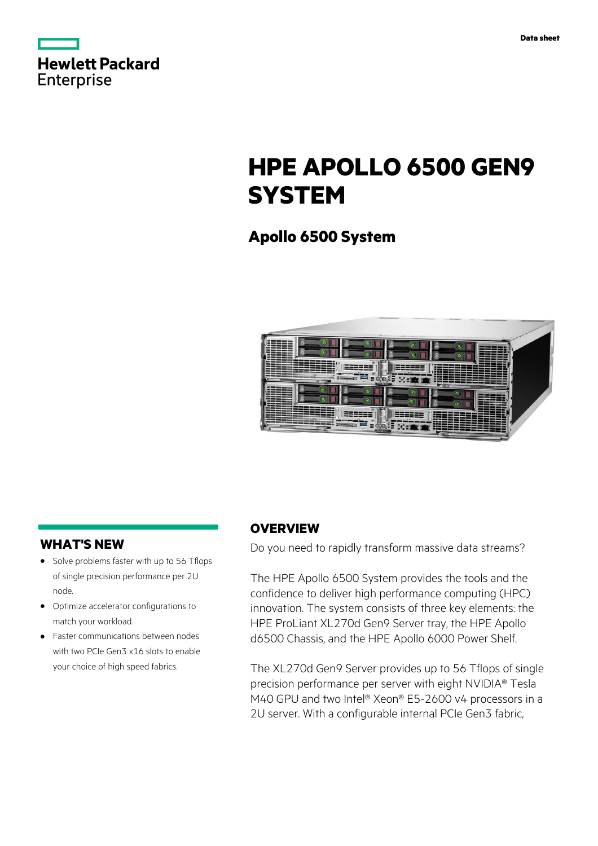|                   | <b>Hewlett Packard</b> |
|-------------------|------------------------|
| <b>Enterprise</b> |                        |

# **HPE APOLLO 6500 GEN9 SYSTEM**

# **Apollo 6500 System**



# **WHAT'S NEW**

- **·** Solve problems faster with up to 56 Tflops of single precision performance per 2U node.
- **·** Optimize accelerator configurations to match your workload.
- **·** Faster communications between nodes with two PCIe Gen3 x16 slots to enable your choice of high speed fabrics.

# **OVERVIEW**

Do you need to rapidly transform massive data streams?

The HPE Apollo 6500 System provides the tools and the confidence to deliver high performance computing (HPC) innovation. The system consists of three key elements: the HPE ProLiant XL270d Gen9 Server tray, the HPE Apollo d6500 Chassis, and the HPE Apollo 6000 Power Shelf.

The XL270d Gen9 Server provides up to 56 Tflops of single precision performance per server with eight NVIDIA® Tesla M40 GPU and two Intel® Xeon® E5-2600 v4 processors in a 2U server. With a configurable internal PCIe Gen3 fabric,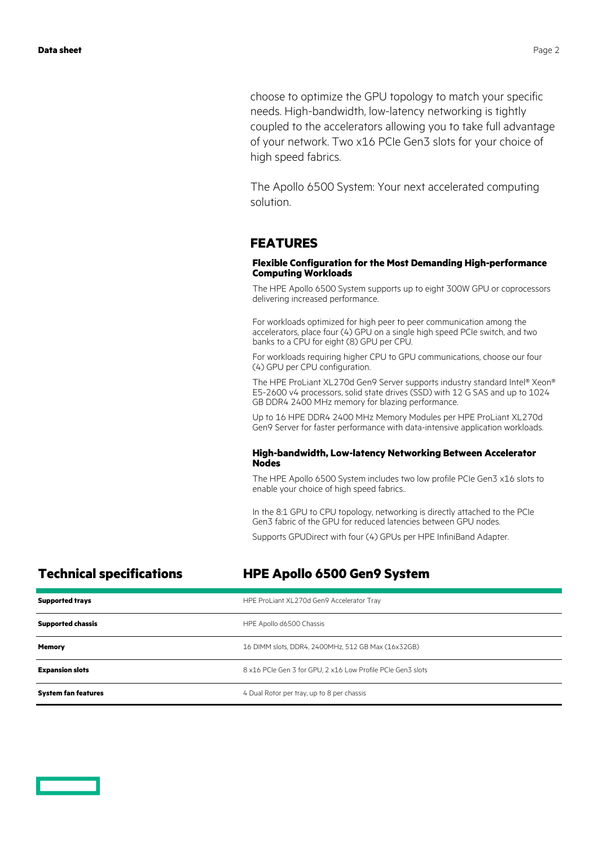choose to optimize the GPU topology to match your specific needs. High-bandwidth, low-latency networking is tightly coupled to the accelerators allowing you to take full advantage of your network. Two x16 PCIe Gen3 slots for your choice of high speed fabrics.

The Apollo 6500 System: Your next accelerated computing solution.

### **FEATURES**

### **Flexible Configuration for the Most Demanding High-performance Computing Workloads**

The HPE Apollo 6500 System supports up to eight 300W GPU or coprocessors delivering increased performance.

For workloads optimized for high peer to peer communication among the accelerators, place four (4) GPU on a single high speed PCIe switch, and two banks to a CPU for eight (8) GPU per CPU.

For workloads requiring higher CPU to GPU communications, choose our four (4) GPU per CPU configuration.

The HPE ProLiant XL270d Gen9 Server supports industry standard Intel® Xeon® E5-2600 v4 processors, solid state drives (SSD) with 12 G SAS and up to 1024 GB DDR4 2400 MHz memory for blazing performance.

Up to 16 HPE DDR4 2400 MHz Memory Modules per HPE ProLiant XL270d Gen9 Server for faster performance with data-intensive application workloads.

### **High-bandwidth, Low-latency Networking Between Accelerator Nodes**

The HPE Apollo 6500 System includes two low profile PCIe Gen3 x16 slots to enable your choice of high speed fabrics..

In the 8:1 GPU to CPU topology, networking is directly attached to the PCIe Gen3 fabric of the GPU for reduced latencies between GPU nodes.

Supports GPUDirect with four (4) GPUs per HPE InfiniBand Adapter.

### **Technical specifications HPE Apollo 6500 Gen9 System**

| <b>Supported trays</b>     | HPE ProLiant XL270d Gen9 Accelerator Tray                   |
|----------------------------|-------------------------------------------------------------|
| <b>Supported chassis</b>   | HPE Apollo d6500 Chassis                                    |
| <b>Memory</b>              | 16 DIMM slots, DDR4, 2400MHz, 512 GB Max (16x32GB)          |
| <b>Expansion slots</b>     | 8 x16 PCIe Gen 3 for GPU, 2 x16 Low Profile PCIe Gen3 slots |
| <b>System fan features</b> | 4 Dual Rotor per tray, up to 8 per chassis                  |